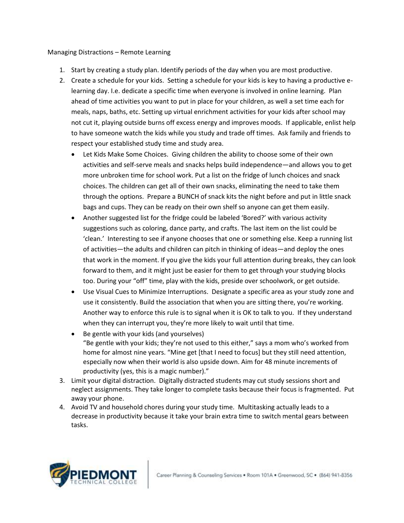## Managing Distractions – Remote Learning

- 1. Start by creating a study plan. Identify periods of the day when you are most productive.
- 2. Create a schedule for your kids. Setting a schedule for your kids is key to having a productive elearning day. I.e. dedicate a specific time when everyone is involved in online learning. Plan ahead of time activities you want to put in place for your children, as well a set time each for meals, naps, baths, etc. Setting up virtual enrichment activities for your kids after school may not cut it, playing outside burns off excess energy and improves moods. If applicable, enlist help to have someone watch the kids while you study and trade off times. Ask family and friends to respect your established study time and study area.
	- Let Kids Make Some Choices. Giving children the ability to choose some of their own activities and self-serve meals and snacks helps build independence—and allows you to get more unbroken time for school work. Put a list on the fridge of lunch choices and snack choices. The children can get all of their own snacks, eliminating the need to take them through the options. Prepare a BUNCH of snack kits the night before and put in little snack bags and cups. They can be ready on their own shelf so anyone can get them easily.
	- Another suggested list for the fridge could be labeled 'Bored?' with various activity suggestions such as coloring, dance party, and crafts. The last item on the list could be 'clean.' Interesting to see if anyone chooses that one or something else. Keep a running list of activities—the adults and children can pitch in thinking of ideas—and deploy the ones that work in the moment. If you give the kids your full attention during breaks, they can look forward to them, and it might just be easier for them to get through your studying blocks too. During your "off" time, play with the kids, preside over schoolwork, or get outside.
	- Use Visual Cues to Minimize Interruptions. Designate a specific area as your study zone and use it consistently. Build the association that when you are sitting there, you're working. Another way to enforce this rule is to signal when it is OK to talk to you. If they understand when they can interrupt you, they're more likely to wait until that time.
	- Be gentle with your kids (and yourselves) "Be gentle with your kids; they're not used to this either," says a mom who's worked from home for almost nine years. "Mine get [that I need to focus] but they still need attention, especially now when their world is also upside down. Aim for 48 minute increments of productivity (yes, this is a magic number)."
- 3. Limit your digital distraction. Digitally distracted students may cut study sessions short and neglect assignments. They take longer to complete tasks because their focus is fragmented. Put away your phone.
- 4. Avoid TV and household chores during your study time. Multitasking actually leads to a decrease in productivity because it take your brain extra time to switch mental gears between tasks.